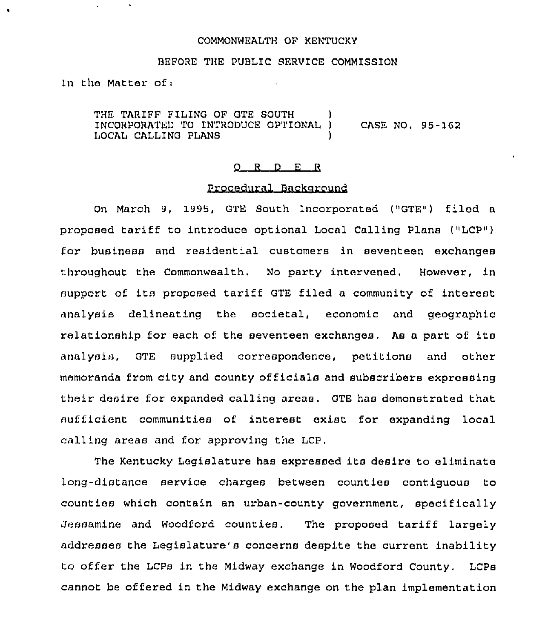## COMMONWEALTH OF KENTUCKy

#### BEFORE THE PUBLIC SERVICE COMMISSION

1n the Matter of;

THE TARIFF FILING OF GTE SOUTH INCORPORATED TO INTRODUCE OPTIONAL ) CASE NO, 95-152 I,OCAL CALLING PLANS )

#### 0 <sup>R</sup> <sup>D</sup> <sup>E</sup> <sup>R</sup>

### Procedural Background

On March 9, 1995, GTE South Incorporated ("GTE") filed a proposed tariff to introduce optional Local Calling Plans ("LCP") for business and residential customers in seventeen exchanges throughout the Commonwealth, No party intervened. However, in support of its proposed tariff GTE filed <sup>a</sup> community of interest analysis delineating the societal, economic and geographic relationship for each of the seventeen exchanges. As <sup>a</sup> part of its analysis, GTE supplied correspondence, petitions and other memoranda from city and county officials and subscribers expressing their desire for expanded calling areas. GTE has demonstrated that sufficient communities of interest exist for expanding local calling areas and for approving the LCP.

The Kentucky Legislature has expressed its desire to eliminate long-distance service charges between counties contiguous to counties which contain an urban-county government, specifically Jessamine and Woodford counties. The proposed tariff largely addresses the Legislature's concerns despite the current inability to offer the LCPs in the Midway exchange in Woodford County. LCP8 cannot be offered in the Midway exchange on the plan implementation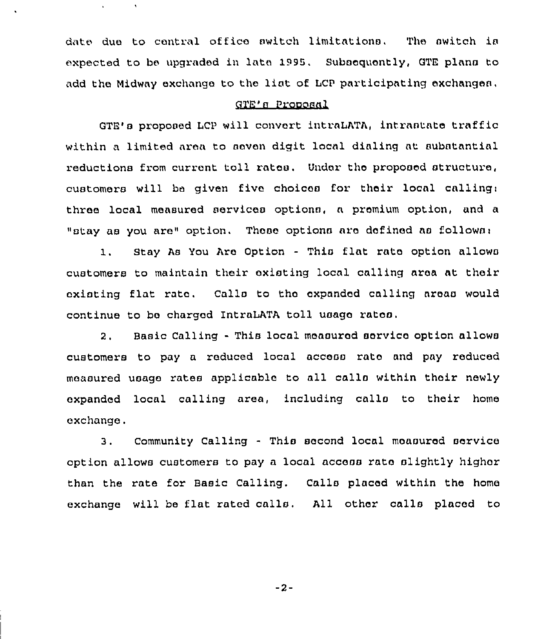date due to central office switch limitations, The switch ia expected to be upqraded in late 1995. Subsequently, GTE plans to add the Midway exchange to the liat of LCP participating exchanges,

 $\Lambda$ 

# gTR'n Proooaal

GTE's proposed LCP will convert intraLATA, intrastate traffic within a limited area to seven digit local dialing at substantial reductions from current toll rates. Under the proposed structure, customers will be given five choices for their local calling: three local measured services options, a premium option, and a "stay as you are" option. These options are defined as follows:

1. Stay As You Are Option - This flat rate option allows customers to maintain their existing local calling area at their existing flat rata. Calla to tha expanded calling areas would continue to be charged lntraLATA toll usage ratoo.

2. Basic Calling - This local measured service option allows customers to pay a reduced local access rata and pay reduced measured usage rates applicable to all calla within their newly expanded local calling area, including calla to their home exchange.

3. Community Calling - This second local moaaured service option allows customers to pay a local access rata slightly higher than the rate for Basic Calling, Calls placed within the home exchange will be flat rated calls, All other calls placed to

 $-2-$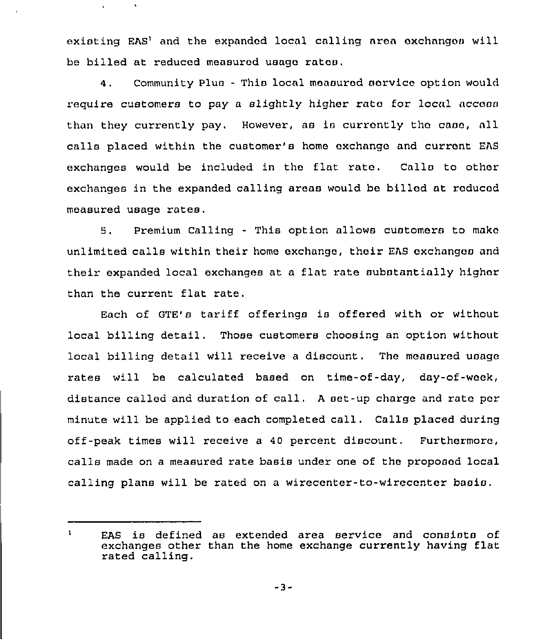existing EAS' and the expanded local calling area exchanges will be billed at reduced measured usage ratas.

 $\bullet$ 

4. Community Plus - This local measurod service option would require customers to pay a slightly higher rate for local access than they currently pay. However, as is currently the case, all calla placed within the customer's home exchnngo and current EAS exchanges would be included in the flat rato. Calls to other exchanges in the expanded calling areas would be billed at roducod measured usage rates.

5. Premium Calling - This option allows customers to mako unlimited calls within their home exchange, their EAS oxchanges and their expanded local exchanges at <sup>a</sup> flat rate substantially higher than the current flat rate.

Each of GTE's tariff offerings is offered with or without local billing detail. Those customers choosing an option without local billing detail will receive a discount. The measured usage rates will be calculated based on time-of-day, day-of-week, distance called and duration of call, <sup>A</sup> set-up charge and rate por minute will be applied to each completed call. Calls placed during off-peak times will receive a 40 percent discount. Furthermore, calls made on a measured rate basis under one of the proposed local calling plans will be rated on a wirecenter-to-wirecenter basis.

-3-

 $\mathbf{1}$ EAS is defined as extended area service and consists of exchanges other than the home exchange currently having flat rated calling.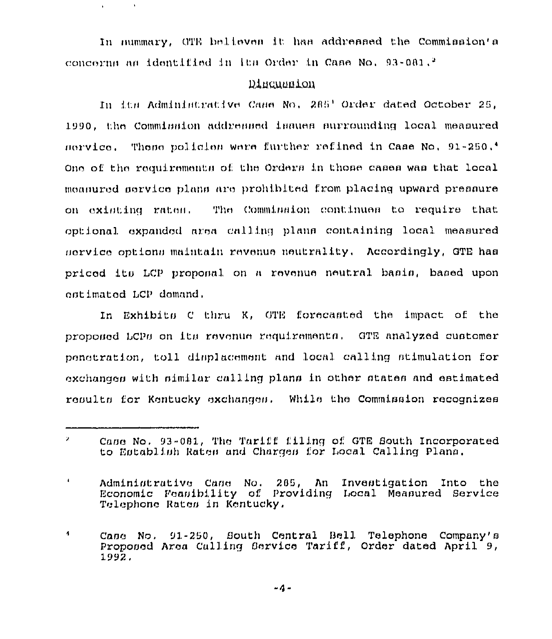In nummary, CTE believes it has addressed the Commission's concerns as identified in its Order in Case No,  $93-081$ ,  $^2$ 

 $\bullet$ 

## Discussion

In its Administrative Case No. 285' Order dated October 25, 1990, the Comminaton addressed issues surrounding local measured rlation. These policies were further refined in Case No, 91-250,<sup>4</sup> One of the requirements of the Orders in those cases was that local monnurod service plans are prohibited from placing upward pressure on existing rates. The Commission continues to require that optional expanded area calling plans containing local measured nervice options maintain revenue neutrality. Accordingly, GTE has pricod its LCP proposal on a revenue neutral basis, based upon ontimated LCP domand.

In Exhibits C thru K, GTE forecasted the impact of the proponed LCPs on its revenue requirements. GTE analyzed customer penstration, toll dimplacement and local calling stimulation for exchanges with similar calling plans in other states and estimated results for Kentucky exchanges. While the Commission recognizes

-4-

 $\mathbf{z}$ Case No. 93-081, The Tariff filing of GTE South Incorporated to Establish Rates and Charges for Local Calling Plans,

 $\pmb{\downarrow}$ Administrative Case No. 265, An Investigation Into the Economic Feasibility of Providing Local Measured Service Telephone Rates in Kentucky,

 $\ddot{\phantom{a}}$ Case No. 91-250, South Central Bell Telephone Company's Proposed Area Calling Service Tariff, Order dated April 9, 1992,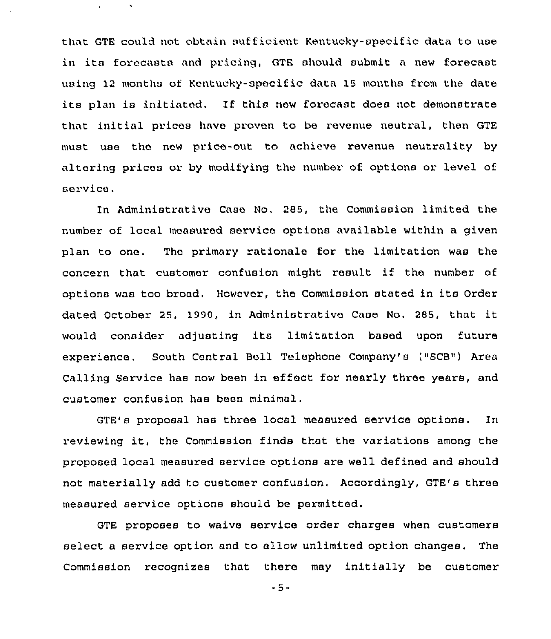that GTE could not obtain sufficient Kentucky-specific data to use in its forecasts and pricing, GTE should submit <sup>a</sup> new forecast using 12 months of Kentucky-specific data 15 months from the date its plan is initiated. If this new forecast does not demonstrate that initial prices have proven to be revenue neutral, then GTE must use the new price-out to achieve revenue neutrality by altering prices or by modifying the number of options or level of service .

In Administrative Case No, 285, the Commission limited the number of local measured service options available within a given plan to one. The primary rationale for the limitation was the concern that customer confusion might result if the number of options was too broad. However, the Commission stated in its Order dated October 25, 1990, in Administrative Case No. 285, that it would consider adjusting its limitation based upon future experience. South Central Bell Telephone Company's ("SCB") Area Calling Service has now been in effect for nearly three years, and customer confusion has been minimal.

GTE's proposal has three local measured service options. In reviewing it, the Commission finds that the variations among the proposed local measured service options are well defined and should not materially add to customer confusion. Accordingly, GTE's three measured service options should be permitted.

GTE proposes to waive service order charges when customers select a service option and to allow unlimited option changes. The Commission recognizes that there may initially be customer

-5-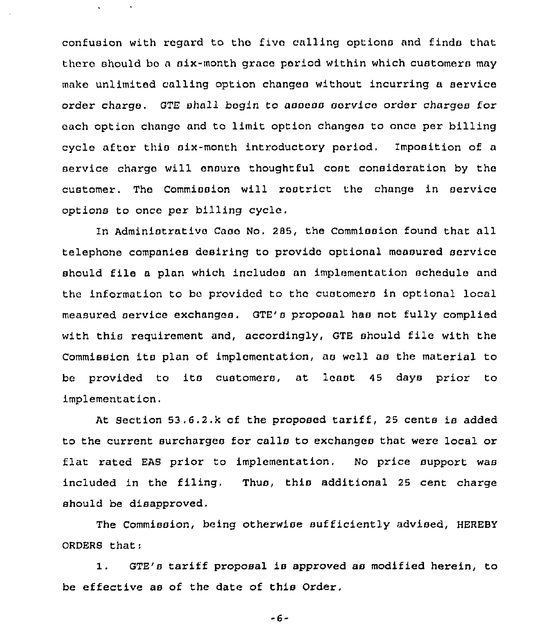confusion with regard to the five calling options and finds that there should ba a six-month grace period within which customers may make unlimited calling option changes without incurring a service order charge. GTE shall bogin to assess service order charges for each option chango and to limit option changes to once per billing cycle after this six-month introductory period, Imposition of a service charge will ensure thoughtful cost consideration by the customer. The Commission will restrict the change in service options to once per billing cycle,

 $\ddot{\phantom{a}}$ 

In Administrative Case No. 285, the Commission found that all telephone companies desiring to provide optional measured service should file <sup>a</sup> plan which includea an implementation schedule and the information to bc pxovidcd to thc customers in optional local measured sexvice exchanges. OTE's proposal has not fully complied with this requirement and, accordingly, OTE should file with the Commission its plan of implementation, as well as the material to be provided to its customers, at least 45 days prior to i.mplementation,

At Section 53.6.2.k of the proposed tariff, <sup>25</sup> cents is added to the current surcharges for calla to exchanges that were local or flat rated EAS prior to implementation, No price support was included in the filing. Thus, this additional 25 cent charge should be disapproved.

The Commission, being otherwise sufficiently advised, HEREBY ORDERS that:

1. GTE's tariff proposal is approved as modified herein, to be effective as of the date of this Ordex,

-6-